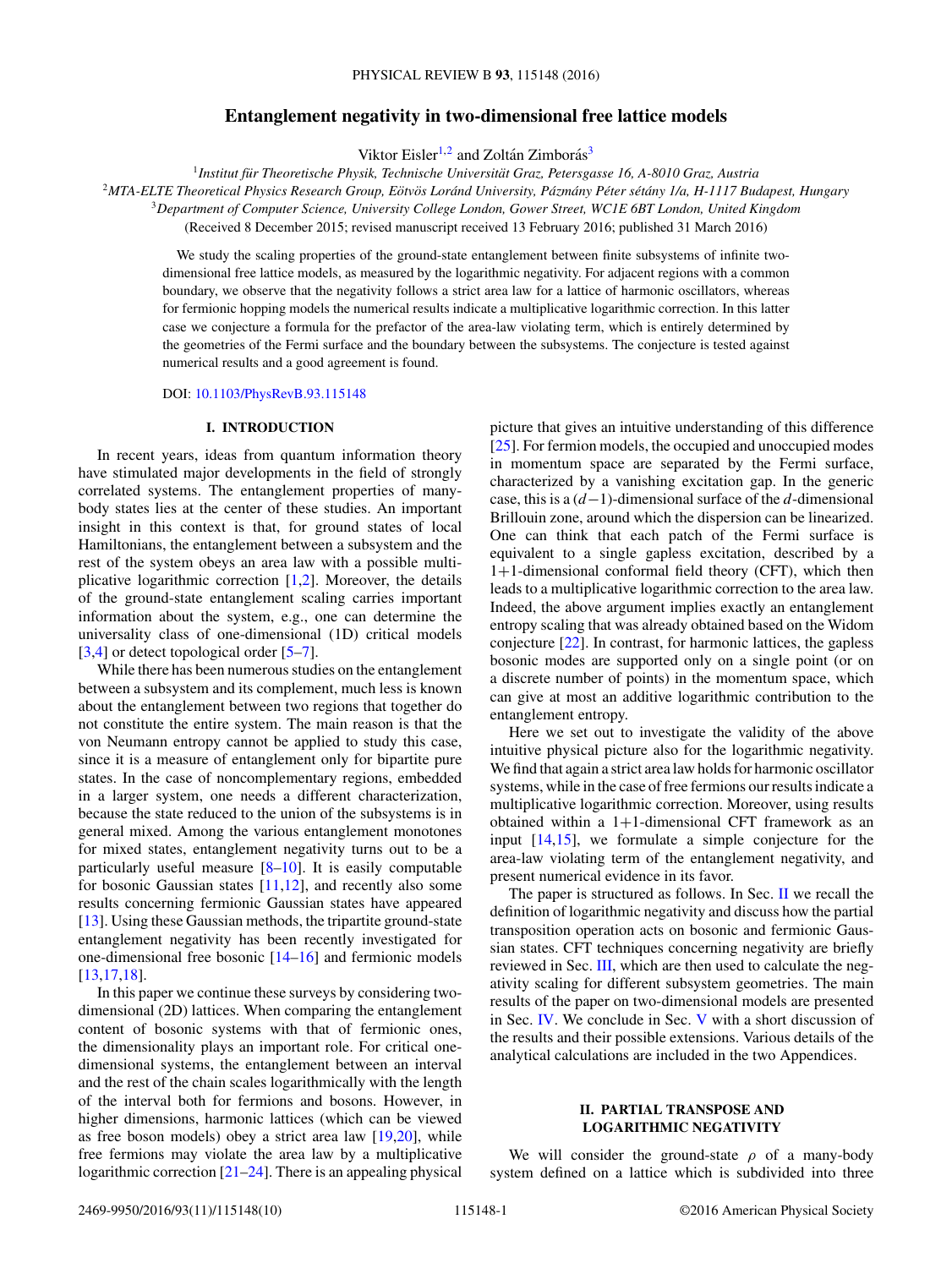# **Entanglement negativity in two-dimensional free lattice models**

Viktor Eisler<sup>1,2</sup> and Zoltán Zimborás<sup>3</sup>

<sup>1</sup> Institut für Theoretische Physik, Technische Universität Graz, Petersgasse 16, A-8010 Graz, Austria

<sup>2</sup>MTA-ELTE Theoretical Physics Research Group, Eötvös Loránd University, Pázmány Péter sétány 1/a, H-1117 Budapest, Hungary

<sup>3</sup>*Department of Computer Science, University College London, Gower Street, WC1E 6BT London, United Kingdom*

(Received 8 December 2015; revised manuscript received 13 February 2016; published 31 March 2016)

We study the scaling properties of the ground-state entanglement between finite subsystems of infinite twodimensional free lattice models, as measured by the logarithmic negativity. For adjacent regions with a common boundary, we observe that the negativity follows a strict area law for a lattice of harmonic oscillators, whereas for fermionic hopping models the numerical results indicate a multiplicative logarithmic correction. In this latter case we conjecture a formula for the prefactor of the area-law violating term, which is entirely determined by the geometries of the Fermi surface and the boundary between the subsystems. The conjecture is tested against numerical results and a good agreement is found.

DOI: [10.1103/PhysRevB.93.115148](http://dx.doi.org/10.1103/PhysRevB.93.115148)

# **I. INTRODUCTION**

In recent years, ideas from quantum information theory have stimulated major developments in the field of strongly correlated systems. The entanglement properties of manybody states lies at the center of these studies. An important insight in this context is that, for ground states of local Hamiltonians, the entanglement between a subsystem and the rest of the system obeys an area law with a possible multiplicative logarithmic correction [\[1,2\]](#page-9-0). Moreover, the details of the ground-state entanglement scaling carries important information about the system, e.g., one can determine the universality class of one-dimensional (1D) critical models [\[3,4\]](#page-9-0) or detect topological order [\[5–7\]](#page-9-0).

While there has been numerous studies on the entanglement between a subsystem and its complement, much less is known about the entanglement between two regions that together do not constitute the entire system. The main reason is that the von Neumann entropy cannot be applied to study this case, since it is a measure of entanglement only for bipartite pure states. In the case of noncomplementary regions, embedded in a larger system, one needs a different characterization, because the state reduced to the union of the subsystems is in general mixed. Among the various entanglement monotones for mixed states, entanglement negativity turns out to be a particularly useful measure [\[8–10\]](#page-9-0). It is easily computable for bosonic Gaussian states  $[11,12]$ , and recently also some results concerning fermionic Gaussian states have appeared [\[13\]](#page-9-0). Using these Gaussian methods, the tripartite ground-state entanglement negativity has been recently investigated for one-dimensional free bosonic [\[14–16\]](#page-9-0) and fermionic models [\[13,17,18\]](#page-9-0).

In this paper we continue these surveys by considering twodimensional (2D) lattices. When comparing the entanglement content of bosonic systems with that of fermionic ones, the dimensionality plays an important role. For critical onedimensional systems, the entanglement between an interval and the rest of the chain scales logarithmically with the length of the interval both for fermions and bosons. However, in higher dimensions, harmonic lattices (which can be viewed as free boson models) obey a strict area law [\[19,20\]](#page-9-0), while free fermions may violate the area law by a multiplicative logarithmic correction [\[21–24\]](#page-9-0). There is an appealing physical picture that gives an intuitive understanding of this difference [\[25\]](#page-9-0). For fermion models, the occupied and unoccupied modes in momentum space are separated by the Fermi surface, characterized by a vanishing excitation gap. In the generic case, this is a (*d*−1)-dimensional surface of the *d*-dimensional Brillouin zone, around which the dispersion can be linearized. One can think that each patch of the Fermi surface is equivalent to a single gapless excitation, described by a 1+1-dimensional conformal field theory (CFT), which then leads to a multiplicative logarithmic correction to the area law. Indeed, the above argument implies exactly an entanglement entropy scaling that was already obtained based on the Widom conjecture [\[22\]](#page-9-0). In contrast, for harmonic lattices, the gapless bosonic modes are supported only on a single point (or on a discrete number of points) in the momentum space, which can give at most an additive logarithmic contribution to the entanglement entropy.

Here we set out to investigate the validity of the above intuitive physical picture also for the logarithmic negativity. We find that again a strict area law holds for harmonic oscillator systems, while in the case of free fermions our results indicate a multiplicative logarithmic correction. Moreover, using results obtained within a 1+1-dimensional CFT framework as an input [\[14,15\]](#page-9-0), we formulate a simple conjecture for the area-law violating term of the entanglement negativity, and present numerical evidence in its favor.

The paper is structured as follows. In Sec. II we recall the definition of logarithmic negativity and discuss how the partial transposition operation acts on bosonic and fermionic Gaussian states. CFT techniques concerning negativity are briefly reviewed in Sec. [III,](#page-2-0) which are then used to calculate the negativity scaling for different subsystem geometries. The main results of the paper on two-dimensional models are presented in Sec. [IV.](#page-3-0) We conclude in Sec. [V](#page-6-0) with a short discussion of the results and their possible extensions. Various details of the analytical calculations are included in the two Appendices.

# **II. PARTIAL TRANSPOSE AND LOGARITHMIC NEGATIVITY**

We will consider the ground-state  $\rho$  of a many-body system defined on a lattice which is subdivided into three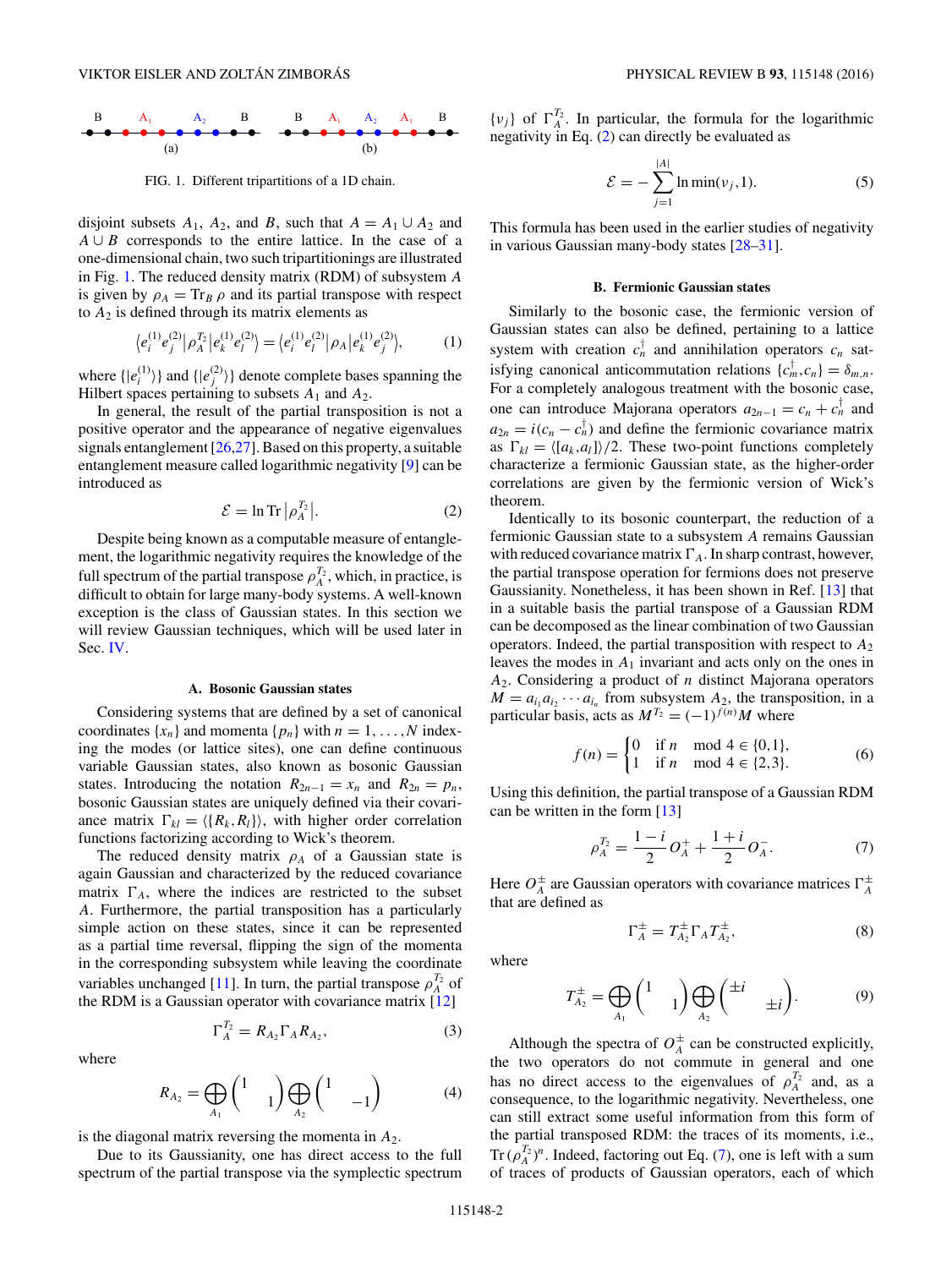<span id="page-1-0"></span>

FIG. 1. Different tripartitions of a 1D chain.

disjoint subsets  $A_1$ ,  $A_2$ , and  $B$ , such that  $A = A_1 \cup A_2$  and *A* ∪ *B* corresponds to the entire lattice. In the case of a one-dimensional chain, two such tripartitionings are illustrated in Fig. 1. The reduced density matrix (RDM) of subsystem *A* is given by  $\rho_A = \text{Tr}_B \rho$  and its partial transpose with respect to  $A_2$  is defined through its matrix elements as

$$
\langle e_i^{(1)} e_j^{(2)} | \rho_A^{T_2} | e_k^{(1)} e_l^{(2)} \rangle = \langle e_i^{(1)} e_l^{(2)} | \rho_A | e_k^{(1)} e_j^{(2)} \rangle, \tag{1}
$$

where  $\{|e_i^{(1)}\rangle\}$  and  $\{|e_j^{(2)}\rangle\}$  denote complete bases spanning the Hilbert spaces pertaining to subsets  $A_1$  and  $A_2$ .

In general, the result of the partial transposition is not a positive operator and the appearance of negative eigenvalues signals entanglement [\[26,27\]](#page-9-0). Based on this property, a suitable entanglement measure called logarithmic negativity [\[9\]](#page-9-0) can be introduced as

$$
\mathcal{E} = \ln \text{Tr} \left| \rho_A^{T_2} \right|.
$$
 (2)

Despite being known as a computable measure of entanglement, the logarithmic negativity requires the knowledge of the full spectrum of the partial transpose  $\rho_A^{T_2}$ , which, in practice, is difficult to obtain for large many-body systems. A well-known exception is the class of Gaussian states. In this section we will review Gaussian techniques, which will be used later in Sec. [IV.](#page-3-0)

### **A. Bosonic Gaussian states**

Considering systems that are defined by a set of canonical coordinates  $\{x_n\}$  and momenta  $\{p_n\}$  with  $n = 1, \ldots, N$  indexing the modes (or lattice sites), one can define continuous variable Gaussian states, also known as bosonic Gaussian states. Introducing the notation  $R_{2n-1} = x_n$  and  $R_{2n} = p_n$ , bosonic Gaussian states are uniquely defined via their covariance matrix  $\Gamma_{kl} = \langle \{R_k, R_l\} \rangle$ , with higher order correlation functions factorizing according to Wick's theorem.

The reduced density matrix  $\rho_A$  of a Gaussian state is again Gaussian and characterized by the reduced covariance matrix  $\Gamma_A$ , where the indices are restricted to the subset *A*. Furthermore, the partial transposition has a particularly simple action on these states, since it can be represented as a partial time reversal, flipping the sign of the momenta in the corresponding subsystem while leaving the coordinate variables unchanged [\[11\]](#page-9-0). In turn, the partial transpose  $\rho_A^{T_2}$  of the RDM is a Gaussian operator with covariance matrix [\[12\]](#page-9-0)

$$
\Gamma_A^{T_2} = R_{A_2} \Gamma_A R_{A_2},\tag{3}
$$

where

$$
R_{A_2} = \bigoplus_{A_1} \begin{pmatrix} 1 & 0 \end{pmatrix} \bigoplus_{A_2} \begin{pmatrix} 1 & 0 \end{pmatrix} \tag{4}
$$

is the diagonal matrix reversing the momenta in  $A_2$ .

Due to its Gaussianity, one has direct access to the full spectrum of the partial transpose via the symplectic spectrum

 $\{v_j\}$  of  $\Gamma_A^{T_2}$ . In particular, the formula for the logarithmic negativity in Eq. (2) can directly be evaluated as

$$
\mathcal{E} = -\sum_{j=1}^{|A|} \ln \min(v_j, 1). \tag{5}
$$

This formula has been used in the earlier studies of negativity in various Gaussian many-body states [\[28–31\]](#page-9-0).

#### **B. Fermionic Gaussian states**

Similarly to the bosonic case, the fermionic version of Gaussian states can also be defined, pertaining to a lattice system with creation  $c_n^{\dagger}$  and annihilation operators  $c_n$  satisfying canonical anticommutation relations  $\{c_m^{\dagger}, c_n\} = \delta_{m,n}$ . For a completely analogous treatment with the bosonic case, one can introduce Majorana operators  $a_{2n-1} = c_n + c_n^{\dagger}$  and  $a_{2n} = i(c_n - c_n)$  and define the fermionic covariance matrix as  $\Gamma_{kl} = \langle [a_k, a_l] \rangle / 2$ . These two-point functions completely characterize a fermionic Gaussian state, as the higher-order correlations are given by the fermionic version of Wick's theorem.

Identically to its bosonic counterpart, the reduction of a fermionic Gaussian state to a subsystem *A* remains Gaussian with reduced covariance matrix  $\Gamma_A$ . In sharp contrast, however, the partial transpose operation for fermions does not preserve Gaussianity. Nonetheless, it has been shown in Ref. [\[13\]](#page-9-0) that in a suitable basis the partial transpose of a Gaussian RDM can be decomposed as the linear combination of two Gaussian operators. Indeed, the partial transposition with respect to *A*<sup>2</sup> leaves the modes in *A*<sup>1</sup> invariant and acts only on the ones in *A*2. Considering a product of *n* distinct Majorana operators  $M = a_{i_1} a_{i_2} \cdots a_{i_n}$  from subsystem  $A_2$ , the transposition, in a particular basis, acts as  $M^{T_2} = (-1)^{f(n)}M$  where

$$
f(n) = \begin{cases} 0 & \text{if } n \mod 4 \in \{0, 1\}, \\ 1 & \text{if } n \mod 4 \in \{2, 3\}. \end{cases}
$$
 (6)

Using this definition, the partial transpose of a Gaussian RDM can be written in the form [\[13\]](#page-9-0)

$$
\rho_A^{T_2} = \frac{1-i}{2} O_A^+ + \frac{1+i}{2} O_A^-.
$$
 (7)

Here  $O_A^{\pm}$  are Gaussian operators with covariance matrices  $\Gamma_A^{\pm}$ that are defined as

$$
\Gamma_A^{\pm} = T_{A_2}^{\pm} \Gamma_A T_{A_2}^{\pm}, \tag{8}
$$

where

$$
T_{A_2}^{\pm} = \bigoplus_{A_1} \begin{pmatrix} 1 & 0 \end{pmatrix} \bigoplus_{A_2} \begin{pmatrix} \pm i & \pm i \end{pmatrix}.
$$
 (9)

Although the spectra of  $O_A^{\pm}$  can be constructed explicitly, the two operators do not commute in general and one has no direct access to the eigenvalues of  $\rho_A^{T_2}$  and, as a consequence, to the logarithmic negativity. Nevertheless, one can still extract some useful information from this form of the partial transposed RDM: the traces of its moments, i.e.,  $\text{Tr}\,(\rho_A^{T_2})^n$ . Indeed, factoring out Eq. (7), one is left with a sum of traces of products of Gaussian operators, each of which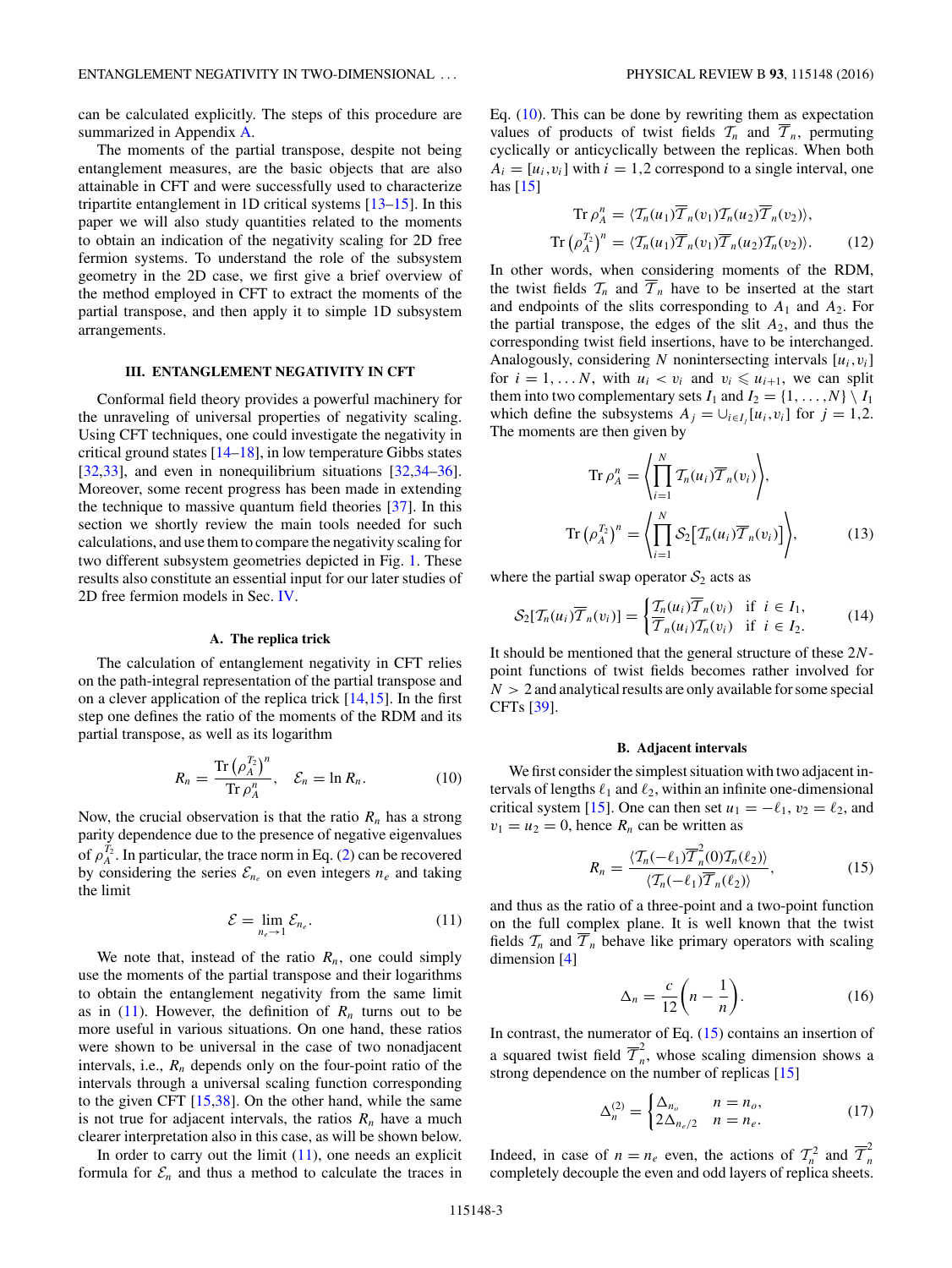<span id="page-2-0"></span>can be calculated explicitly. The steps of this procedure are summarized in Appendix [A.](#page-7-0)

The moments of the partial transpose, despite not being entanglement measures, are the basic objects that are also attainable in CFT and were successfully used to characterize tripartite entanglement in 1D critical systems [\[13–15\]](#page-9-0). In this paper we will also study quantities related to the moments to obtain an indication of the negativity scaling for 2D free fermion systems. To understand the role of the subsystem geometry in the 2D case, we first give a brief overview of the method employed in CFT to extract the moments of the partial transpose, and then apply it to simple 1D subsystem arrangements.

## **III. ENTANGLEMENT NEGATIVITY IN CFT**

Conformal field theory provides a powerful machinery for the unraveling of universal properties of negativity scaling. Using CFT techniques, one could investigate the negativity in critical ground states [\[14–18\]](#page-9-0), in low temperature Gibbs states [\[32,33\]](#page-9-0), and even in nonequilibrium situations [\[32,34–36\]](#page-9-0). Moreover, some recent progress has been made in extending the technique to massive quantum field theories [\[37\]](#page-9-0). In this section we shortly review the main tools needed for such calculations, and use them to compare the negativity scaling for two different subsystem geometries depicted in Fig. [1.](#page-1-0) These results also constitute an essential input for our later studies of 2D free fermion models in Sec. [IV.](#page-3-0)

### **A. The replica trick**

The calculation of entanglement negativity in CFT relies on the path-integral representation of the partial transpose and on a clever application of the replica trick [\[14,15\]](#page-9-0). In the first step one defines the ratio of the moments of the RDM and its partial transpose, as well as its logarithm

$$
R_n = \frac{\text{Tr}\left(\rho_A^{T_2}\right)^n}{\text{Tr}\,\rho_A^n}, \quad \mathcal{E}_n = \ln R_n. \tag{10}
$$

Now, the crucial observation is that the ratio  $R_n$  has a strong parity dependence due to the presence of negative eigenvalues of  $\rho_A^{T_2}$ . In particular, the trace norm in Eq. [\(2\)](#page-1-0) can be recovered by considering the series  $\mathcal{E}_{n_e}$  on even integers  $n_e$  and taking the limit

$$
\mathcal{E} = \lim_{n_e \to 1} \mathcal{E}_{n_e}.
$$
 (11)

We note that, instead of the ratio  $R_n$ , one could simply use the moments of the partial transpose and their logarithms to obtain the entanglement negativity from the same limit as in  $(11)$ . However, the definition of  $R_n$  turns out to be more useful in various situations. On one hand, these ratios were shown to be universal in the case of two nonadjacent intervals, i.e.,  $R_n$  depends only on the four-point ratio of the intervals through a universal scaling function corresponding to the given CFT [\[15,38\]](#page-9-0). On the other hand, while the same is not true for adjacent intervals, the ratios  $R_n$  have a much clearer interpretation also in this case, as will be shown below.

In order to carry out the limit  $(11)$ , one needs an explicit formula for  $\mathcal{E}_n$  and thus a method to calculate the traces in Eq.  $(10)$ . This can be done by rewriting them as expectation values of products of twist fields  $\mathcal{T}_n$  and  $\overline{\mathcal{T}}_n$ , permuting cyclically or anticyclically between the replicas. When both  $A_i = [u_i, v_i]$  with  $i = 1, 2$  correspond to a single interval, one has  $[15]$ 

$$
\operatorname{Tr}\rho_A^n = \langle \mathcal{T}_n(u_1)\overline{\mathcal{T}}_n(v_1)\mathcal{T}_n(u_2)\overline{\mathcal{T}}_n(v_2)\rangle,
$$
  

$$
\operatorname{Tr}\left(\rho_A^{T_2}\right)^n = \langle \mathcal{T}_n(u_1)\overline{\mathcal{T}}_n(v_1)\overline{\mathcal{T}}_n(u_2)\mathcal{T}_n(v_2)\rangle.
$$
 (12)

In other words, when considering moments of the RDM, the twist fields  $T_n$  and  $T_n$  have to be inserted at the start and endpoints of the slits corresponding to  $A_1$  and  $A_2$ . For the partial transpose, the edges of the slit  $A_2$ , and thus the corresponding twist field insertions, have to be interchanged. Analogously, considering  $N$  nonintersecting intervals  $[u_i, v_i]$ for  $i = 1, \ldots N$ , with  $u_i < v_i$  and  $v_i \leq u_{i+1}$ , we can split them into two complementary sets  $I_1$  and  $I_2 = \{1, \ldots, N\} \setminus I_1$ which define the subsystems  $A_j = \bigcup_{i \in I_j} [u_i, v_i]$  for  $j = 1, 2$ . The moments are then given by

$$
\operatorname{Tr}\rho_A^n = \left\langle \prod_{i=1}^N \mathcal{T}_n(u_i) \overline{\mathcal{T}}_n(v_i) \right\rangle,
$$
  

$$
\operatorname{Tr}\left(\rho_A^{T_2}\right)^n = \left\langle \prod_{i=1}^N \mathcal{S}_2 \big[ \mathcal{T}_n(u_i) \overline{\mathcal{T}}_n(v_i) \big] \right\rangle,
$$
(13)

where the partial swap operator  $S_2$  acts as

$$
\mathcal{S}_2[\mathcal{T}_n(u_i)\overline{\mathcal{T}}_n(v_i)] = \begin{cases} \mathcal{T}_n(u_i)\overline{\mathcal{T}}_n(v_i) & \text{if } i \in I_1, \\ \overline{\mathcal{T}}_n(u_i)\mathcal{T}_n(v_i) & \text{if } i \in I_2. \end{cases} \tag{14}
$$

It should be mentioned that the general structure of these 2*N*point functions of twist fields becomes rather involved for  $N > 2$  and analytical results are only available for some special CFTs [\[39\]](#page-9-0).

### **B. Adjacent intervals**

We first consider the simplest situation with two adjacent intervals of lengths  $\ell_1$  and  $\ell_2$ , within an infinite one-dimensional critical system [\[15\]](#page-9-0). One can then set  $u_1 = -\ell_1$ ,  $v_2 = \ell_2$ , and  $v_1 = u_2 = 0$ , hence  $R_n$  can be written as

$$
R_n = \frac{\langle \mathcal{T}_n(-\ell_1) \overline{\mathcal{T}}_n^2(0) \mathcal{T}_n(\ell_2) \rangle}{\langle \mathcal{T}_n(-\ell_1) \overline{\mathcal{T}}_n(\ell_2) \rangle},
$$
(15)

and thus as the ratio of a three-point and a two-point function on the full complex plane. It is well known that the twist fields  $\mathcal{T}_n$  and  $\overline{\mathcal{T}}_n$  behave like primary operators with scaling dimension [\[4\]](#page-9-0)

$$
\Delta_n = \frac{c}{12} \left( n - \frac{1}{n} \right). \tag{16}
$$

In contrast, the numerator of Eq. (15) contains an insertion of a squared twist field  $\overline{\mathcal{T}}_n^2$ , whose scaling dimension shows a strong dependence on the number of replicas [\[15\]](#page-9-0)

$$
\Delta_n^{(2)} = \begin{cases} \Delta_{n_o} & n = n_o, \\ 2\Delta_{n_e/2} & n = n_e. \end{cases} \tag{17}
$$

Indeed, in case of  $n = n_e$  even, the actions of  $T_n^2$  and  $\overline{T}_n^2$ completely decouple the even and odd layers of replica sheets.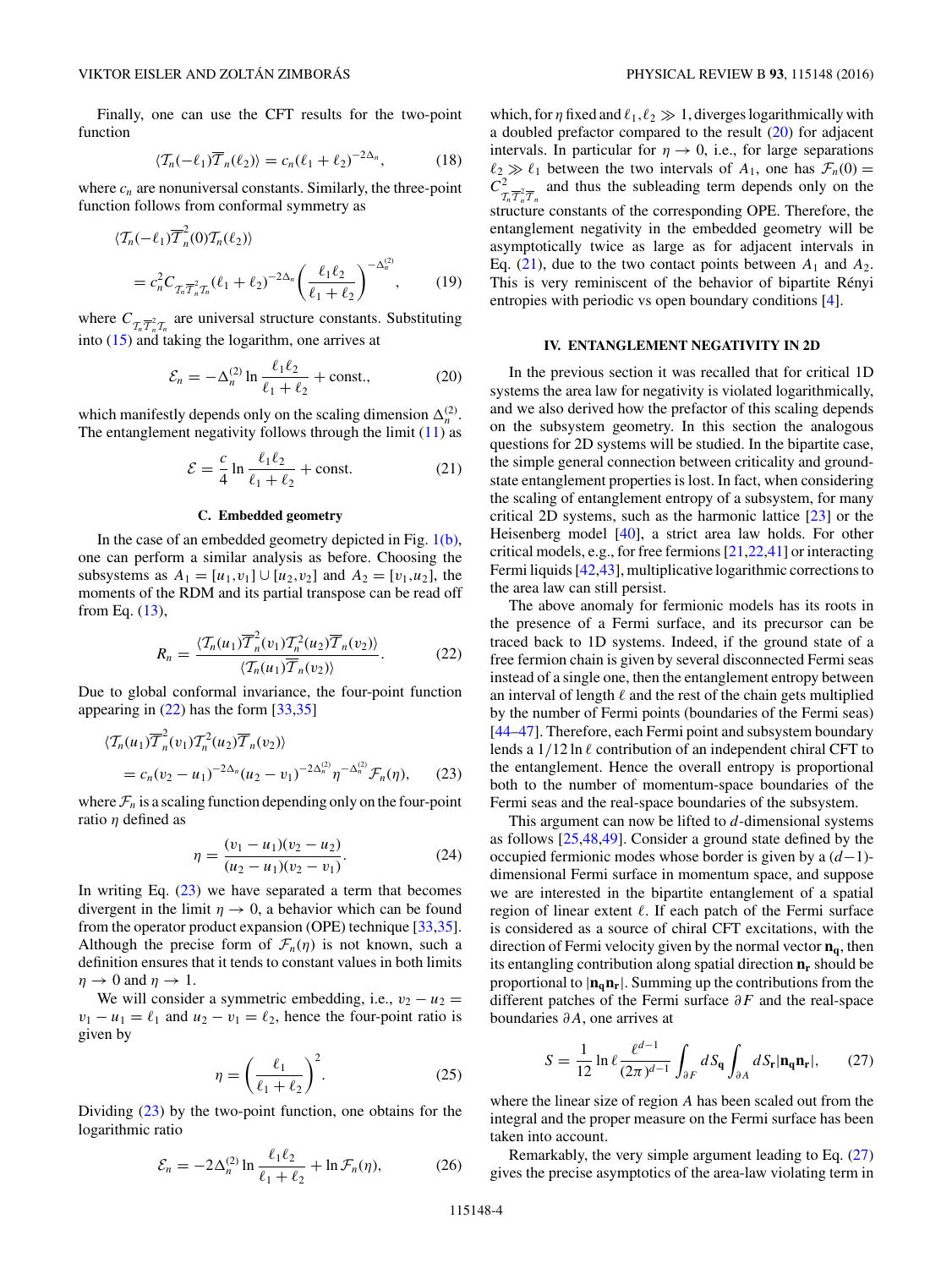<span id="page-3-0"></span>Finally, one can use the CFT results for the two-point function

$$
\langle \mathcal{T}_n(-\ell_1) \overline{\mathcal{T}}_n(\ell_2) \rangle = c_n(\ell_1 + \ell_2)^{-2\Delta_n},\tag{18}
$$

where  $c_n$  are nonuniversal constants. Similarly, the three-point function follows from conformal symmetry as

$$
\langle \mathcal{T}_n(-\ell_1) \overline{\mathcal{T}}_n^2(0) \mathcal{T}_n(\ell_2) \rangle
$$
  
=  $c_n^2 C_{\mathcal{T}_n} \overline{\mathcal{T}}_n^2 \mathcal{T}_n(\ell_1 + \ell_2)^{-2\Delta_n} \left( \frac{\ell_1 \ell_2}{\ell_1 + \ell_2} \right)^{-\Delta_n^{(2)}},$  (19)

where  $C_{\mathcal{T}_n \overline{\mathcal{T}}_n^2 \mathcal{T}_n}$  are universal structure constants. Substituting into [\(15\)](#page-2-0) and taking the logarithm, one arrives at

$$
\mathcal{E}_n = -\Delta_n^{(2)} \ln \frac{\ell_1 \ell_2}{\ell_1 + \ell_2} + \text{const.},\tag{20}
$$

which manifestly depends only on the scaling dimension  $\Delta_n^{(2)}$ . The entanglement negativity follows through the limit  $(11)$  as

$$
\mathcal{E} = \frac{c}{4} \ln \frac{\ell_1 \ell_2}{\ell_1 + \ell_2} + \text{const.}
$$
 (21)

## **C. Embedded geometry**

In the case of an embedded geometry depicted in Fig. [1\(b\),](#page-1-0) one can perform a similar analysis as before. Choosing the subsystems as  $A_1 = [u_1, v_1] \cup [u_2, v_2]$  and  $A_2 = [v_1, u_2]$ , the moments of the RDM and its partial transpose can be read off from Eq. [\(13\)](#page-2-0),

$$
R_n = \frac{\langle \mathcal{T}_n(u_1) \overline{\mathcal{T}}_n^2(v_1) \mathcal{T}_n^2(u_2) \overline{\mathcal{T}}_n(v_2) \rangle}{\langle \mathcal{T}_n(u_1) \overline{\mathcal{T}}_n(v_2) \rangle}.
$$
 (22)

Due to global conformal invariance, the four-point function appearing in (22) has the form [\[33,35\]](#page-9-0)

$$
\langle \mathcal{T}_n(u_1) \overline{\mathcal{T}}_n^2(v_1) \mathcal{T}_n^2(u_2) \overline{\mathcal{T}}_n(v_2) \rangle
$$
  
=  $c_n(v_2 - u_1)^{-2\Delta_n}(u_2 - v_1)^{-2\Delta_n^{(2)}} \eta^{-\Delta_n^{(2)}} \mathcal{F}_n(\eta),$  (23)

where  $\mathcal{F}_n$  is a scaling function depending only on the four-point ratio *η* defined as

$$
\eta = \frac{(v_1 - u_1)(v_2 - u_2)}{(u_2 - u_1)(v_2 - v_1)}.\tag{24}
$$

In writing Eq.  $(23)$  we have separated a term that becomes divergent in the limit  $\eta \to 0$ , a behavior which can be found from the operator product expansion (OPE) technique [\[33,35\]](#page-9-0). Although the precise form of  $\mathcal{F}_n(\eta)$  is not known, such a definition ensures that it tends to constant values in both limits  $\eta \rightarrow 0$  and  $\eta \rightarrow 1$ .

We will consider a symmetric embedding, i.e.,  $v_2 - u_2 =$  $v_1 - u_1 = \ell_1$  and  $u_2 - v_1 = \ell_2$ , hence the four-point ratio is given by

$$
\eta = \left(\frac{\ell_1}{\ell_1 + \ell_2}\right)^2. \tag{25}
$$

Dividing (23) by the two-point function, one obtains for the logarithmic ratio

$$
\mathcal{E}_n = -2\Delta_n^{(2)} \ln \frac{\ell_1 \ell_2}{\ell_1 + \ell_2} + \ln \mathcal{F}_n(\eta),\tag{26}
$$

which, for  $\eta$  fixed and  $\ell_1, \ell_2 \gg 1$ , diverges logarithmically with a doubled prefactor compared to the result (20) for adjacent intervals. In particular for  $\eta \to 0$ , i.e., for large separations  $\ell_2 \gg \ell_1$  between the two intervals of  $A_1$ , one has  $\mathcal{F}_n(0) =$  $C_{\tilde{T}_n \tilde{T}_n^2 \overline{T}_n}^2$  and thus the subleading term depends only on the structure constants of the corresponding OPE. Therefore, the entanglement negativity in the embedded geometry will be asymptotically twice as large as for adjacent intervals in Eq.  $(21)$ , due to the two contact points between  $A_1$  and  $A_2$ . This is very reminiscent of the behavior of bipartite Rényi entropies with periodic vs open boundary conditions [\[4\]](#page-9-0).

## **IV. ENTANGLEMENT NEGATIVITY IN 2D**

In the previous section it was recalled that for critical 1D systems the area law for negativity is violated logarithmically, and we also derived how the prefactor of this scaling depends on the subsystem geometry. In this section the analogous questions for 2D systems will be studied. In the bipartite case, the simple general connection between criticality and groundstate entanglement properties is lost. In fact, when considering the scaling of entanglement entropy of a subsystem, for many critical 2D systems, such as the harmonic lattice [\[23\]](#page-9-0) or the Heisenberg model [\[40\]](#page-9-0), a strict area law holds. For other critical models, e.g., for free fermions [\[21,22,41\]](#page-9-0) or interacting Fermi liquids [\[42,43\]](#page-9-0), multiplicative logarithmic corrections to the area law can still persist.

The above anomaly for fermionic models has its roots in the presence of a Fermi surface, and its precursor can be traced back to 1D systems. Indeed, if the ground state of a free fermion chain is given by several disconnected Fermi seas instead of a single one, then the entanglement entropy between an interval of length  $\ell$  and the rest of the chain gets multiplied by the number of Fermi points (boundaries of the Fermi seas) [\[44–47\]](#page-9-0). Therefore, each Fermi point and subsystem boundary lends a  $1/12 \ln \ell$  contribution of an independent chiral CFT to the entanglement. Hence the overall entropy is proportional both to the number of momentum-space boundaries of the Fermi seas and the real-space boundaries of the subsystem.

This argument can now be lifted to *d*-dimensional systems as follows [\[25,48,49\]](#page-9-0). Consider a ground state defined by the occupied fermionic modes whose border is given by a (*d*−1) dimensional Fermi surface in momentum space, and suppose we are interested in the bipartite entanglement of a spatial region of linear extent  $\ell$ . If each patch of the Fermi surface is considered as a source of chiral CFT excitations, with the direction of Fermi velocity given by the normal vector  $n_q$ , then its entangling contribution along spatial direction  $n_r$  should be proportional to  $|\mathbf{n}_{q}\mathbf{n}_{r}|$ . Summing up the contributions from the different patches of the Fermi surface *∂F* and the real-space boundaries *∂A*, one arrives at

$$
S = \frac{1}{12} \ln \ell \frac{\ell^{d-1}}{(2\pi)^{d-1}} \int_{\partial F} dS_{\mathbf{q}} \int_{\partial A} dS_{\mathbf{r}} |\mathbf{n}_{\mathbf{q}} \mathbf{n}_{\mathbf{r}}|, \qquad (27)
$$

where the linear size of region *A* has been scaled out from the integral and the proper measure on the Fermi surface has been taken into account.

Remarkably, the very simple argument leading to Eq. (27) gives the precise asymptotics of the area-law violating term in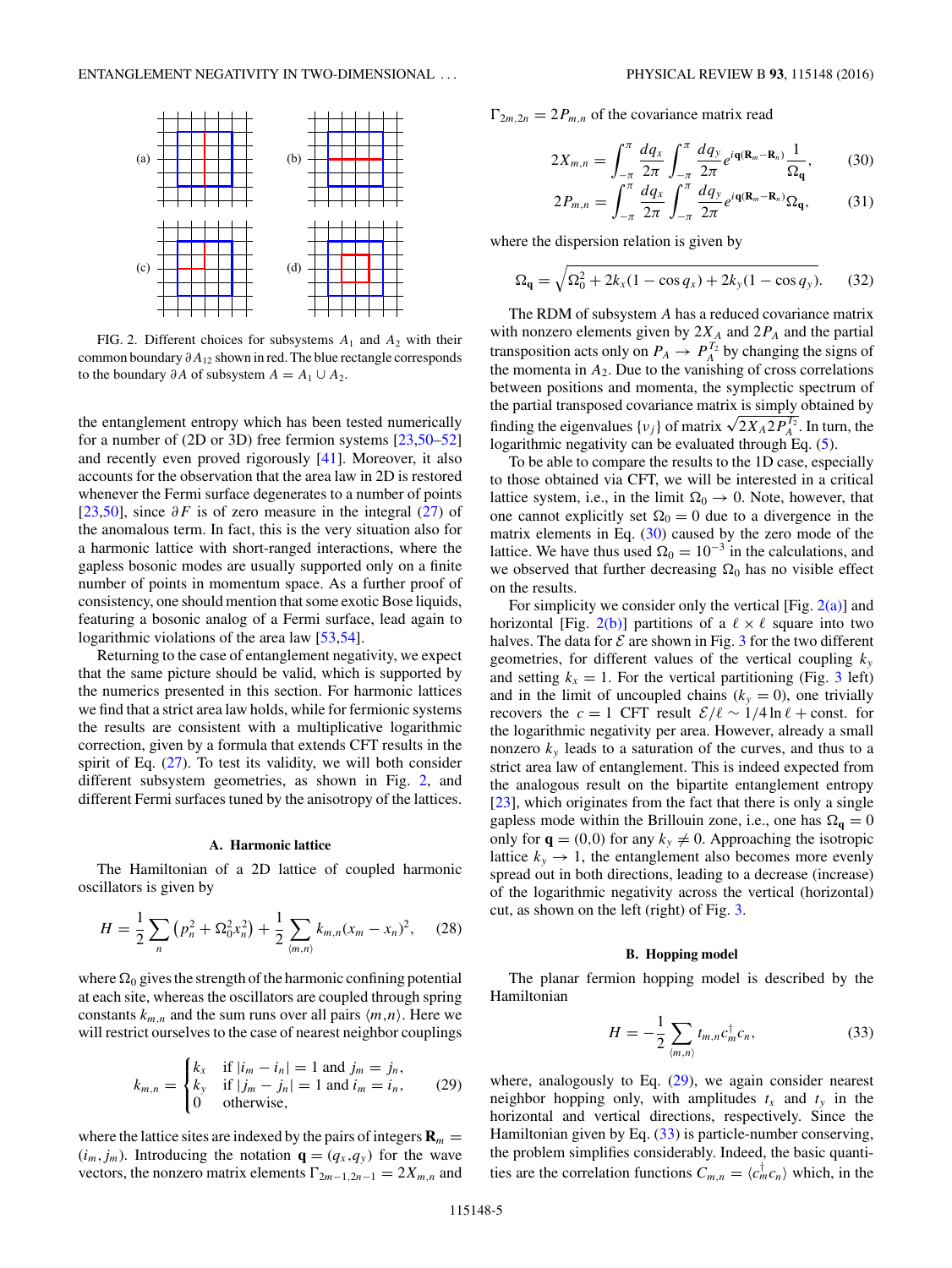<span id="page-4-0"></span>

FIG. 2. Different choices for subsystems  $A_1$  and  $A_2$  with their common boundary *∂A*<sup>12</sup> shown in red. The blue rectangle corresponds to the boundary  $\partial A$  of subsystem  $A = A_1 \cup A_2$ .

the entanglement entropy which has been tested numerically for a number of (2D or 3D) free fermion systems [\[23,50–52\]](#page-9-0) and recently even proved rigorously [\[41\]](#page-9-0). Moreover, it also accounts for the observation that the area law in 2D is restored whenever the Fermi surface degenerates to a number of points [\[23,50\]](#page-9-0), since *∂F* is of zero measure in the integral [\(27\)](#page-3-0) of the anomalous term. In fact, this is the very situation also for a harmonic lattice with short-ranged interactions, where the gapless bosonic modes are usually supported only on a finite number of points in momentum space. As a further proof of consistency, one should mention that some exotic Bose liquids, featuring a bosonic analog of a Fermi surface, lead again to logarithmic violations of the area law [\[53,54\]](#page-9-0).

Returning to the case of entanglement negativity, we expect that the same picture should be valid, which is supported by the numerics presented in this section. For harmonic lattices we find that a strict area law holds, while for fermionic systems the results are consistent with a multiplicative logarithmic correction, given by a formula that extends CFT results in the spirit of Eq.  $(27)$ . To test its validity, we will both consider different subsystem geometries, as shown in Fig. 2, and different Fermi surfaces tuned by the anisotropy of the lattices.

### **A. Harmonic lattice**

The Hamiltonian of a 2D lattice of coupled harmonic oscillators is given by

$$
H = \frac{1}{2} \sum_{n} \left( p_n^2 + \Omega_0^2 x_n^2 \right) + \frac{1}{2} \sum_{\langle m, n \rangle} k_{m,n} (x_m - x_n)^2, \quad (28)
$$

where  $\Omega_0$  gives the strength of the harmonic confining potential at each site, whereas the oscillators are coupled through spring constants  $k_{m,n}$  and the sum runs over all pairs  $\langle m,n \rangle$ . Here we will restrict ourselves to the case of nearest neighbor couplings

$$
k_{m,n} = \begin{cases} k_x & \text{if } |i_m - i_n| = 1 \text{ and } j_m = j_n, \\ k_y & \text{if } |j_m - j_n| = 1 \text{ and } i_m = i_n, \\ 0 & \text{otherwise,} \end{cases}
$$
 (29)

where the lattice sites are indexed by the pairs of integers  $\mathbf{R}_m =$  $(i_m, j_m)$ . Introducing the notation  $\mathbf{q} = (q_x, q_y)$  for the wave vectors, the nonzero matrix elements  $\Gamma_{2m-1,2n-1} = 2X_{m,n}$  and  $\Gamma_{2m,2n} = 2P_{m,n}$  of the covariance matrix read

$$
2X_{m,n} = \int_{-\pi}^{\pi} \frac{dq_x}{2\pi} \int_{-\pi}^{\pi} \frac{dq_y}{2\pi} e^{i\mathbf{q}(\mathbf{R}_m - \mathbf{R}_n)} \frac{1}{\Omega_{\mathbf{q}}},\qquad(30)
$$

$$
2P_{m,n} = \int_{-\pi}^{\pi} \frac{dq_x}{2\pi} \int_{-\pi}^{\pi} \frac{dq_y}{2\pi} e^{i\mathbf{q}(\mathbf{R}_m - \mathbf{R}_n)} \Omega_{\mathbf{q}}, \tag{31}
$$

where the dispersion relation is given by

$$
\Omega_{\mathbf{q}} = \sqrt{\Omega_0^2 + 2k_x(1 - \cos q_x) + 2k_y(1 - \cos q_y)}.
$$
 (32)

The RDM of subsystem *A* has a reduced covariance matrix with nonzero elements given by  $2X_A$  and  $2P_A$  and the partial transposition acts only on  $P_A \to P_A^{T_2}$  by changing the signs of the momenta in  $A_2$ . Due to the vanishing of cross correlations between positions and momenta, the symplectic spectrum of the partial transposed covariance matrix is simply obtained by  $\lim_{t \to \infty}$  the eigenvalues {*v<sub>j</sub>*} of matrix  $\sqrt{2X_A 2P_A^{T_2}}$ . In turn, the logarithmic negativity can be evaluated through Eq. [\(5\)](#page-1-0).

To be able to compare the results to the 1D case, especially to those obtained via CFT, we will be interested in a critical lattice system, i.e., in the limit  $\Omega_0 \rightarrow 0$ . Note, however, that one cannot explicitly set  $\Omega_0 = 0$  due to a divergence in the matrix elements in Eq. (30) caused by the zero mode of the lattice. We have thus used  $\Omega_0 = 10^{-3}$  in the calculations, and we observed that further decreasing  $\Omega_0$  has no visible effect on the results.

For simplicity we consider only the vertical [Fig.  $2(a)$ ] and horizontal [Fig. 2(b)] partitions of a  $\ell \times \ell$  square into two halves. The data for  $\mathcal E$  are shown in Fig. [3](#page-5-0) for the two different geometries, for different values of the vertical coupling  $k_y$ and setting  $k_x = 1$ . For the vertical partitioning (Fig. [3](#page-5-0) left) and in the limit of uncoupled chains  $(k_y = 0)$ , one trivially recovers the  $c = 1$  CFT result  $\mathcal{E}/\ell \sim 1/4 \ln \ell + \text{const.}$  for the logarithmic negativity per area. However, already a small nonzero  $k<sub>y</sub>$  leads to a saturation of the curves, and thus to a strict area law of entanglement. This is indeed expected from the analogous result on the bipartite entanglement entropy [\[23\]](#page-9-0), which originates from the fact that there is only a single gapless mode within the Brillouin zone, i.e., one has  $\Omega_{\mathbf{q}} = 0$ only for  $\mathbf{q} = (0,0)$  for any  $k_y \neq 0$ . Approaching the isotropic lattice  $k_y \rightarrow 1$ , the entanglement also becomes more evenly spread out in both directions, leading to a decrease (increase) of the logarithmic negativity across the vertical (horizontal) cut, as shown on the left (right) of Fig. [3.](#page-5-0)

## **B. Hopping model**

The planar fermion hopping model is described by the Hamiltonian

$$
H = -\frac{1}{2} \sum_{(m,n)} t_{m,n} c_m^{\dagger} c_n, \qquad (33)
$$

where, analogously to Eq.  $(29)$ , we again consider nearest neighbor hopping only, with amplitudes  $t_x$  and  $t_y$  in the horizontal and vertical directions, respectively. Since the Hamiltonian given by Eq. (33) is particle-number conserving, the problem simplifies considerably. Indeed, the basic quantities are the correlation functions  $C_{m,n} = \langle c_m^{\dagger} c_n \rangle$  which, in the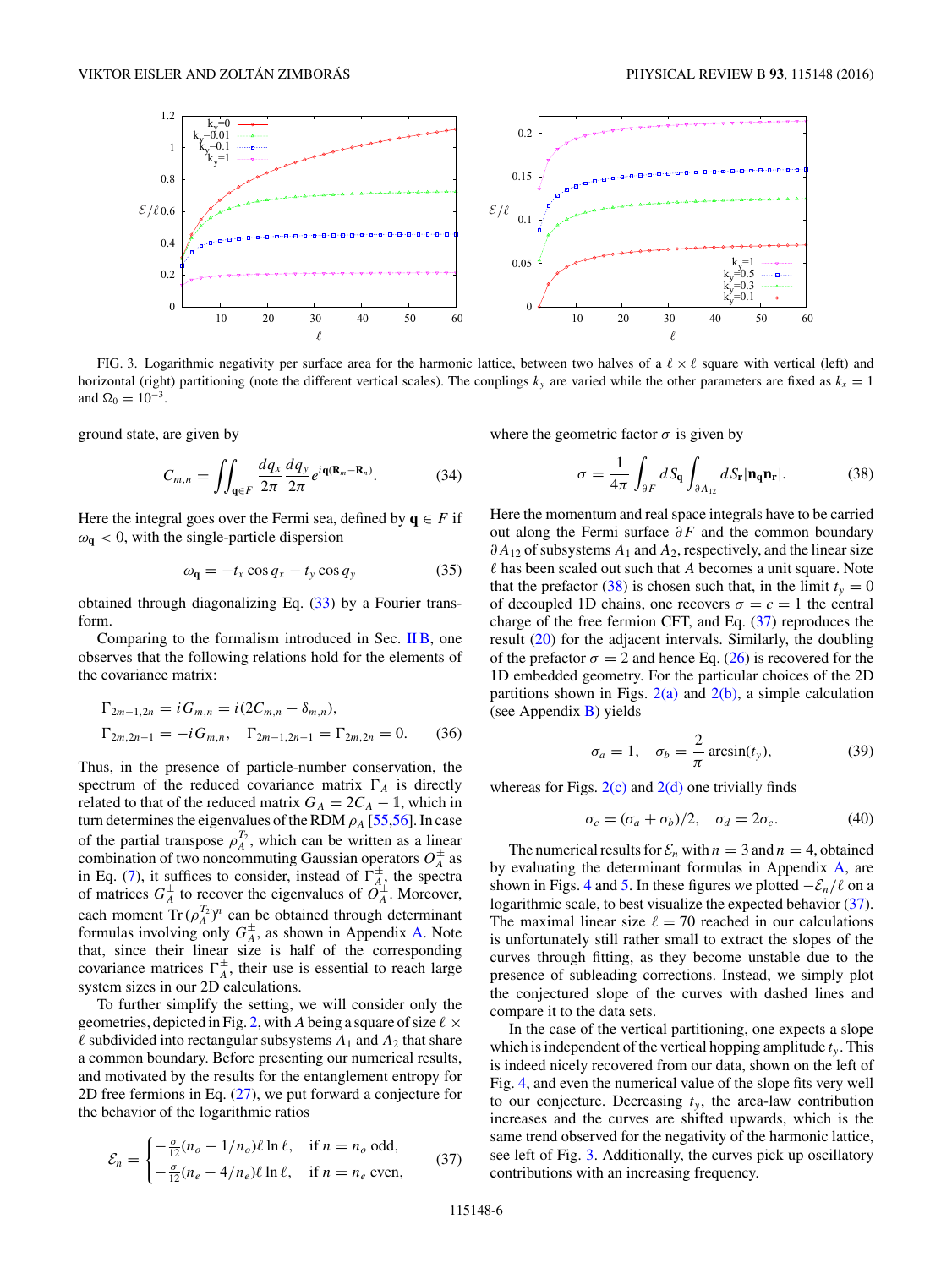<span id="page-5-0"></span>

FIG. 3. Logarithmic negativity per surface area for the harmonic lattice, between two halves of a  $\ell \times \ell$  square with vertical (left) and horizontal (right) partitioning (note the different vertical scales). The couplings  $k_y$  are varied while the other parameters are fixed as  $k_x = 1$ and  $\Omega_0 = 10^{-3}$ .

ground state, are given by

$$
C_{m,n} = \iint_{\mathbf{q} \in F} \frac{dq_x}{2\pi} \frac{dq_y}{2\pi} e^{i\mathbf{q}(\mathbf{R}_m - \mathbf{R}_n)}.
$$
 (34)

Here the integral goes over the Fermi sea, defined by  $q \in F$  if  $\omega_{\bf q}$  < 0, with the single-particle dispersion

$$
\omega_{\mathbf{q}} = -t_x \cos q_x - t_y \cos q_y \tag{35}
$$

obtained through diagonalizing Eq.  $(33)$  by a Fourier transform.

Comparing to the formalism introduced in Sec.  $\overline{I}$  IB, one observes that the following relations hold for the elements of the covariance matrix:

$$
\Gamma_{2m-1,2n} = iG_{m,n} = i(2C_{m,n} - \delta_{m,n}),
$$
  
\n
$$
\Gamma_{2m,2n-1} = -iG_{m,n}, \quad \Gamma_{2m-1,2n-1} = \Gamma_{2m,2n} = 0.
$$
 (36)

Thus, in the presence of particle-number conservation, the spectrum of the reduced covariance matrix  $\Gamma_A$  is directly related to that of the reduced matrix  $G_A = 2C_A - 1$ , which in turn determines the eigenvalues of the RDM  $\rho_A$  [\[55,56\]](#page-9-0). In case of the partial transpose  $\rho_A^{T_2}$ , which can be written as a linear combination of two noncommuting Gaussian operators  $O_A^{\pm}$  as in Eq. [\(7\)](#page-1-0), it suffices to consider, instead of  $\Gamma_{A_1}^{\pm}$ , the spectra of matrices  $G_A^{\pm}$  to recover the eigenvalues of  $O_A^{\pm}$ . Moreover, each moment  $\text{Tr}\,(\rho_A^{T_2})^n$  can be obtained through determinant formulas involving only  $G_A^{\pm}$ , as shown in Appendix [A.](#page-7-0) Note that, since their linear size is half of the corresponding covariance matrices  $\Gamma_A^{\pm}$ , their use is essential to reach large system sizes in our 2D calculations.

To further simplify the setting, we will consider only the geometries, depicted in Fig. [2,](#page-4-0) with *A* being a square of size  $\ell \times$  $\ell$  subdivided into rectangular subsystems  $A_1$  and  $A_2$  that share a common boundary. Before presenting our numerical results, and motivated by the results for the entanglement entropy for 2D free fermions in Eq. [\(27\)](#page-3-0), we put forward a conjecture for the behavior of the logarithmic ratios

$$
\mathcal{E}_n = \begin{cases}\n-\frac{\sigma}{12}(n_o - 1/n_o)\ell \ln \ell, & \text{if } n = n_o \text{ odd}, \\
-\frac{\sigma}{12}(n_e - 4/n_e)\ell \ln \ell, & \text{if } n = n_e \text{ even},\n\end{cases}
$$
\n(37)

where the geometric factor  $\sigma$  is given by

$$
\sigma = \frac{1}{4\pi} \int_{\partial F} dS_{\mathbf{q}} \int_{\partial A_{12}} dS_{\mathbf{r}} |\mathbf{n}_{\mathbf{q}} \mathbf{n}_{\mathbf{r}}|.
$$
 (38)

Here the momentum and real space integrals have to be carried out along the Fermi surface *∂F* and the common boundary *∂A*<sub>12</sub> of subsystems *A*<sub>1</sub> and *A*<sub>2</sub>, respectively, and the linear size  $\ell$  has been scaled out such that  $A$  becomes a unit square. Note that the prefactor (38) is chosen such that, in the limit  $t<sub>v</sub> = 0$ of decoupled 1D chains, one recovers  $\sigma = c = 1$  the central charge of the free fermion CFT, and Eq. (37) reproduces the result [\(20\)](#page-3-0) for the adjacent intervals. Similarly, the doubling of the prefactor  $\sigma = 2$  and hence Eq. [\(26\)](#page-3-0) is recovered for the 1D embedded geometry. For the particular choices of the 2D partitions shown in Figs.  $2(a)$  and  $2(b)$ , a simple calculation (see Appendix [B\)](#page-8-0) yields

$$
\sigma_a = 1, \quad \sigma_b = \frac{2}{\pi} \arcsin(t_y), \tag{39}
$$

whereas for Figs.  $2(c)$  and  $2(d)$  one trivially finds

$$
\sigma_c = (\sigma_a + \sigma_b)/2, \quad \sigma_d = 2\sigma_c. \tag{40}
$$

The numerical results for  $\mathcal{E}_n$  with  $n = 3$  and  $n = 4$ , obtained by evaluating the determinant formulas in Appendix [A,](#page-7-0) are shown in Figs. [4](#page-6-0) and [5.](#page-7-0) In these figures we plotted  $-\mathcal{E}_n/\ell$  on a logarithmic scale, to best visualize the expected behavior (37). The maximal linear size  $\ell = 70$  reached in our calculations is unfortunately still rather small to extract the slopes of the curves through fitting, as they become unstable due to the presence of subleading corrections. Instead, we simply plot the conjectured slope of the curves with dashed lines and compare it to the data sets.

In the case of the vertical partitioning, one expects a slope which is independent of the vertical hopping amplitude  $t<sub>v</sub>$ . This is indeed nicely recovered from our data, shown on the left of Fig. [4,](#page-6-0) and even the numerical value of the slope fits very well to our conjecture. Decreasing  $t<sub>v</sub>$ , the area-law contribution increases and the curves are shifted upwards, which is the same trend observed for the negativity of the harmonic lattice, see left of Fig. 3. Additionally, the curves pick up oscillatory contributions with an increasing frequency.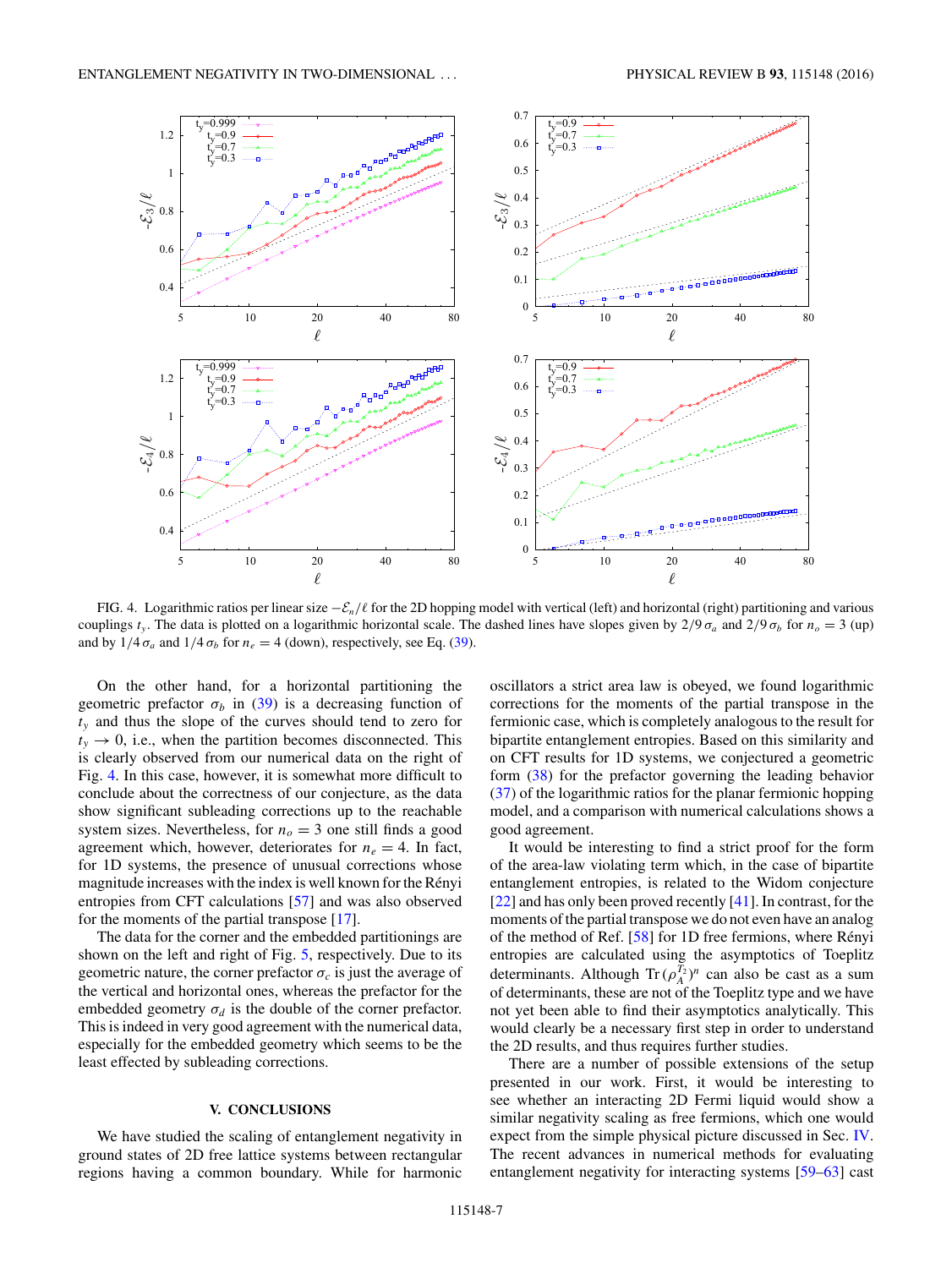<span id="page-6-0"></span>

FIG. 4. Logarithmic ratios per linear size  $-\mathcal{E}_n/\ell$  for the 2D hopping model with vertical (left) and horizontal (right) partitioning and various couplings  $t_y$ . The data is plotted on a logarithmic horizontal scale. The dashed lines have slopes given by  $2/9 \sigma_a$  and  $2/9 \sigma_b$  for  $n_o = 3$  (up) and by  $1/4 \sigma_a$  and  $1/4 \sigma_b$  for  $n_e = 4$  (down), respectively, see Eq. [\(39\)](#page-5-0).

On the other hand, for a horizontal partitioning the geometric prefactor  $\sigma_b$  in [\(39\)](#page-5-0) is a decreasing function of *ty* and thus the slope of the curves should tend to zero for  $t<sub>y</sub> \rightarrow 0$ , i.e., when the partition becomes disconnected. This is clearly observed from our numerical data on the right of Fig. 4. In this case, however, it is somewhat more difficult to conclude about the correctness of our conjecture, as the data show significant subleading corrections up to the reachable system sizes. Nevertheless, for  $n<sub>o</sub> = 3$  one still finds a good agreement which, however, deteriorates for  $n_e = 4$ . In fact, for 1D systems, the presence of unusual corrections whose magnitude increases with the index is well known for the Rényi entropies from CFT calculations [\[57\]](#page-9-0) and was also observed for the moments of the partial transpose [\[17\]](#page-9-0).

The data for the corner and the embedded partitionings are shown on the left and right of Fig. [5,](#page-7-0) respectively. Due to its geometric nature, the corner prefactor  $\sigma_c$  is just the average of the vertical and horizontal ones, whereas the prefactor for the embedded geometry  $\sigma_d$  is the double of the corner prefactor. This is indeed in very good agreement with the numerical data, especially for the embedded geometry which seems to be the least effected by subleading corrections.

## **V. CONCLUSIONS**

We have studied the scaling of entanglement negativity in ground states of 2D free lattice systems between rectangular regions having a common boundary. While for harmonic oscillators a strict area law is obeyed, we found logarithmic corrections for the moments of the partial transpose in the fermionic case, which is completely analogous to the result for bipartite entanglement entropies. Based on this similarity and on CFT results for 1D systems, we conjectured a geometric form [\(38\)](#page-5-0) for the prefactor governing the leading behavior [\(37\)](#page-5-0) of the logarithmic ratios for the planar fermionic hopping model, and a comparison with numerical calculations shows a good agreement.

It would be interesting to find a strict proof for the form of the area-law violating term which, in the case of bipartite entanglement entropies, is related to the Widom conjecture [\[22\]](#page-9-0) and has only been proved recently [\[41\]](#page-9-0). In contrast, for the moments of the partial transpose we do not even have an analog of the method of Ref.  $[58]$  for 1D free fermions, where Rényi entropies are calculated using the asymptotics of Toeplitz determinants. Although  $\text{Tr}\,(\rho_A^{T_2})^n$  can also be cast as a sum of determinants, these are not of the Toeplitz type and we have not yet been able to find their asymptotics analytically. This would clearly be a necessary first step in order to understand the 2D results, and thus requires further studies.

There are a number of possible extensions of the setup presented in our work. First, it would be interesting to see whether an interacting 2D Fermi liquid would show a similar negativity scaling as free fermions, which one would expect from the simple physical picture discussed in Sec. [IV.](#page-3-0) The recent advances in numerical methods for evaluating entanglement negativity for interacting systems [\[59–63\]](#page-9-0) cast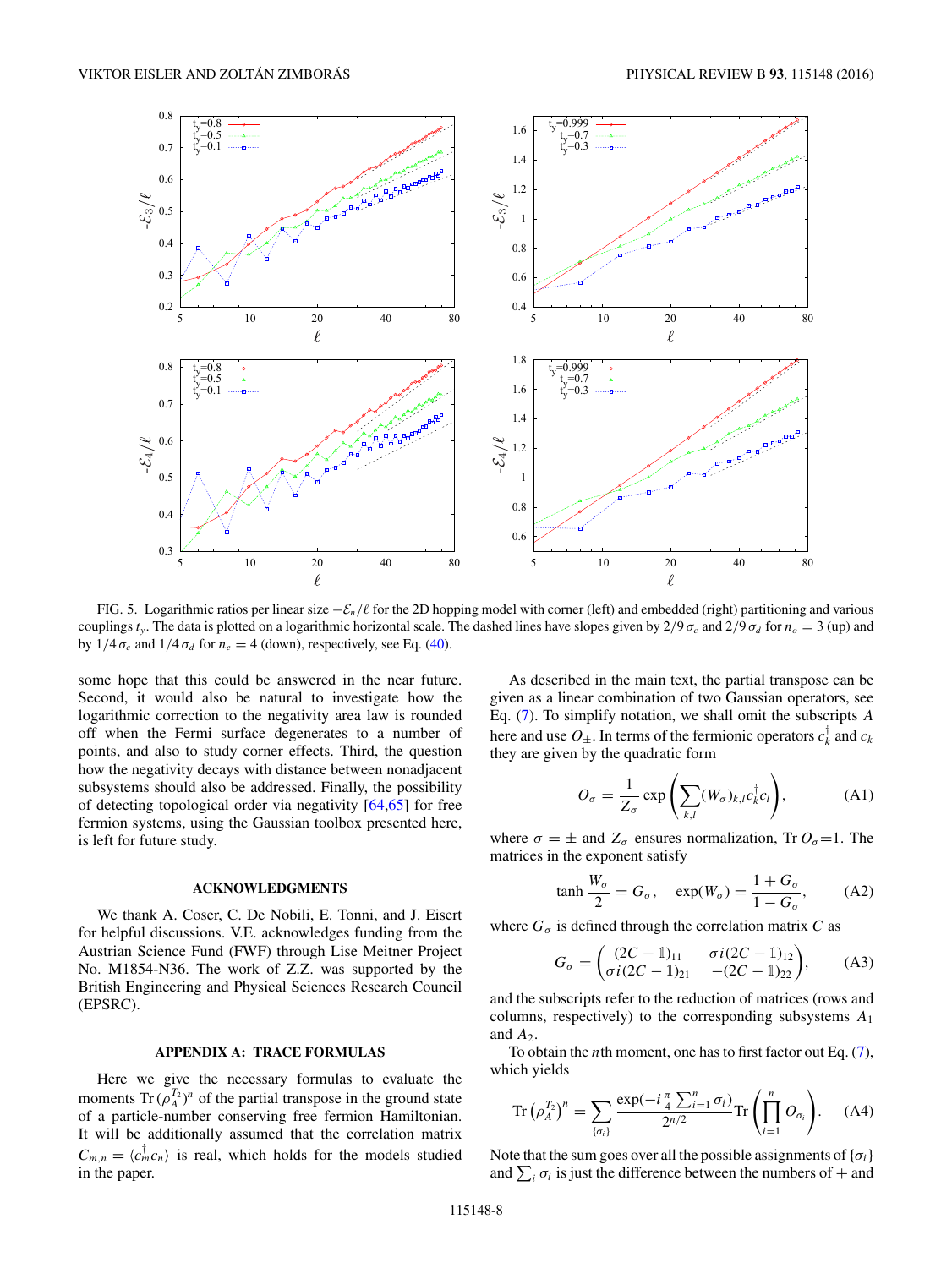<span id="page-7-0"></span>

FIG. 5. Logarithmic ratios per linear size −E*n/* for the 2D hopping model with corner (left) and embedded (right) partitioning and various couplings  $t<sub>y</sub>$ . The data is plotted on a logarithmic horizontal scale. The dashed lines have slopes given by  $2/9 \sigma_c$  and  $2/9 \sigma_d$  for  $n<sub>o</sub> = 3$  (up) and by  $1/4 \sigma_c$  and  $1/4 \sigma_d$  for  $n_e = 4$  (down), respectively, see Eq. [\(40\)](#page-5-0).

some hope that this could be answered in the near future. Second, it would also be natural to investigate how the logarithmic correction to the negativity area law is rounded off when the Fermi surface degenerates to a number of points, and also to study corner effects. Third, the question how the negativity decays with distance between nonadjacent subsystems should also be addressed. Finally, the possibility of detecting topological order via negativity [\[64,65\]](#page-9-0) for free fermion systems, using the Gaussian toolbox presented here, is left for future study.

### **ACKNOWLEDGMENTS**

We thank A. Coser, C. De Nobili, E. Tonni, and J. Eisert for helpful discussions. V.E. acknowledges funding from the Austrian Science Fund (FWF) through Lise Meitner Project No. M1854-N36. The work of Z.Z. was supported by the British Engineering and Physical Sciences Research Council (EPSRC).

#### **APPENDIX A: TRACE FORMULAS**

Here we give the necessary formulas to evaluate the moments  $\text{Tr}\,(\rho_A^{T_2})^n$  of the partial transpose in the ground state of a particle-number conserving free fermion Hamiltonian. It will be additionally assumed that the correlation matrix  $C_{m,n} = \langle c_m^{\dagger} c_n \rangle$  is real, which holds for the models studied in the paper.

As described in the main text, the partial transpose can be given as a linear combination of two Gaussian operators, see Eq. [\(7\)](#page-1-0). To simplify notation, we shall omit the subscripts *A* here and use  $O_{\pm}$ . In terms of the fermionic operators  $c_k^{\dagger}$  and  $c_k$ they are given by the quadratic form

$$
O_{\sigma} = \frac{1}{Z_{\sigma}} \exp\left(\sum_{k,l} (W_{\sigma})_{k,l} c_{k}^{\dagger} c_{l}\right), \tag{A1}
$$

where  $\sigma = \pm$  and  $Z_{\sigma}$  ensures normalization, Tr  $O_{\sigma} = 1$ . The matrices in the exponent satisfy

$$
\tanh\frac{W_{\sigma}}{2} = G_{\sigma}, \quad \exp(W_{\sigma}) = \frac{1 + G_{\sigma}}{1 - G_{\sigma}}, \quad (A2)
$$

where  $G_{\sigma}$  is defined through the correlation matrix *C* as

$$
G_{\sigma} = \begin{pmatrix} (2C - 1)_{11} & \sigma i (2C - 1)_{12} \\ \sigma i (2C - 1)_{21} & -(2C - 1)_{22} \end{pmatrix},
$$
 (A3)

and the subscripts refer to the reduction of matrices (rows and columns, respectively) to the corresponding subsystems *A*<sup>1</sup> and  $A_2$ .

To obtain the *n*th moment, one has to first factor out Eq. [\(7\)](#page-1-0), which yields

$$
\operatorname{Tr}\left(\rho_A^{T_2}\right)^n = \sum_{\{\sigma_i\}} \frac{\exp(-i\frac{\pi}{4}\sum_{i=1}^n \sigma_i)}{2^{n/2}} \operatorname{Tr}\left(\prod_{i=1}^n O_{\sigma_i}\right). \tag{A4}
$$

Note that the sum goes over all the possible assignments of  $\{\sigma_i\}$ and  $\sum_i \sigma_i$  is just the difference between the numbers of  $+$  and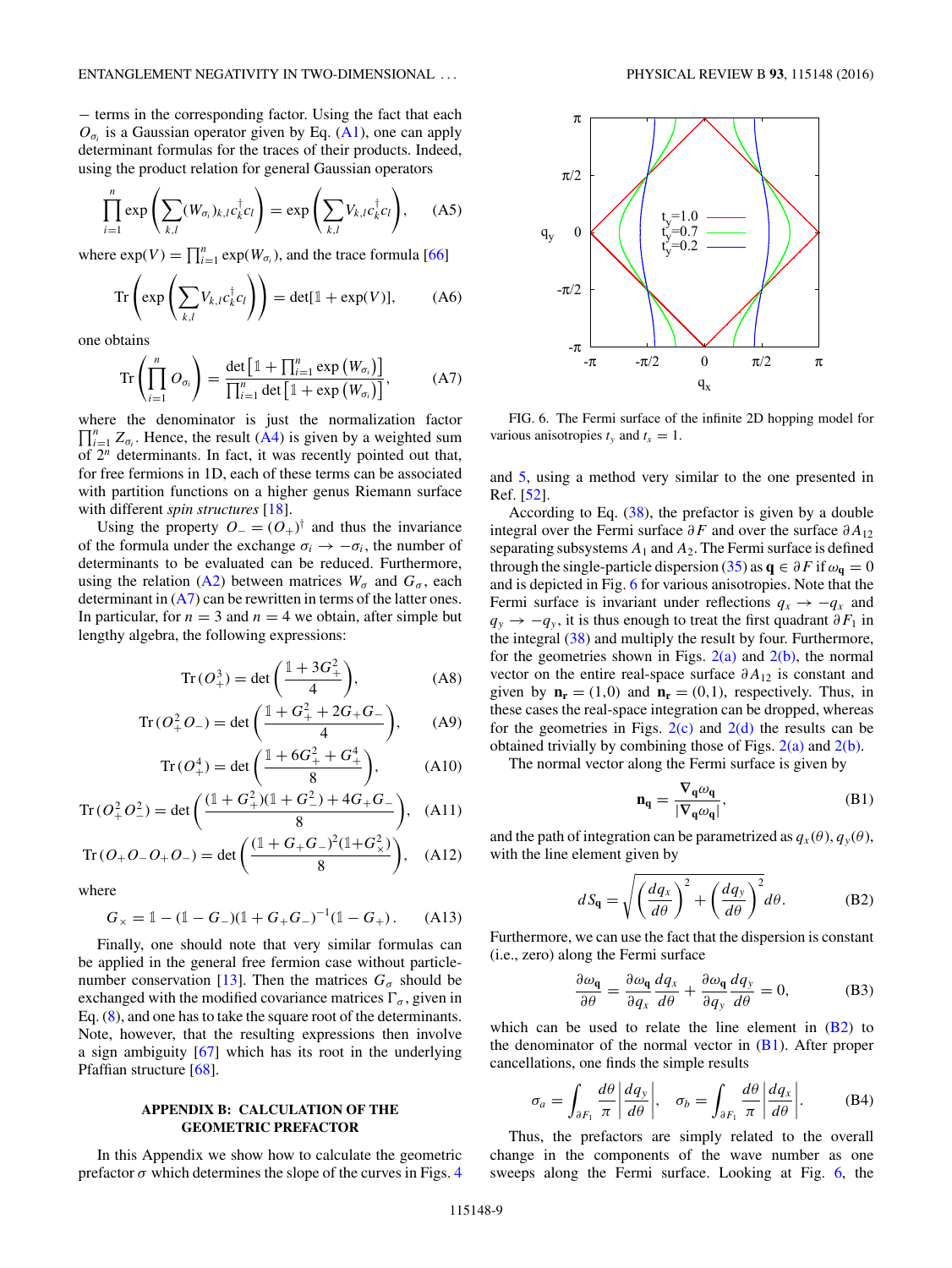<span id="page-8-0"></span>− terms in the corresponding factor. Using the fact that each  $O_{\sigma_i}$  is a Gaussian operator given by Eq. [\(A1\)](#page-7-0), one can apply determinant formulas for the traces of their products. Indeed, using the product relation for general Gaussian operators

$$
\prod_{i=1}^{n} \exp\left(\sum_{k,l} (W_{\sigma_i})_{k,l} c_k^{\dagger} c_l\right) = \exp\left(\sum_{k,l} V_{k,l} c_k^{\dagger} c_l\right), \quad (A5)
$$

where  $\exp(V) = \prod_{i=1}^{n} \exp(W_{\sigma_i})$ , and the trace formula [\[66\]](#page-9-0)

$$
\operatorname{Tr}\left(\exp\left(\sum_{k,l}V_{k,l}c_{k}^{\dagger}c_{l}\right)\right) = \det[\mathbb{1} + \exp(V)],\qquad(A6)
$$

one obtains

$$
\operatorname{Tr}\left(\prod_{i=1}^{n} O_{\sigma_i}\right) = \frac{\det\left[\mathbb{1} + \prod_{i=1}^{n} \exp\left(W_{\sigma_i}\right)\right]}{\prod_{i=1}^{n} \det\left[\mathbb{1} + \exp\left(W_{\sigma_i}\right)\right]},\tag{A7}
$$

where the denominator is just the normalization factor  $\prod_{i=1}^{n} Z_{\sigma_i}$ . Hence, the result [\(A4\)](#page-7-0) is given by a weighted sum of 2*<sup>n</sup>* determinants. In fact, it was recently pointed out that, for free fermions in 1D, each of these terms can be associated with partition functions on a higher genus Riemann surface with different *spin structures* [\[18\]](#page-9-0).

Using the property  $O_-(O_+)^\dagger$  and thus the invariance of the formula under the exchange  $\sigma_i \rightarrow -\sigma_i$ , the number of determinants to be evaluated can be reduced. Furthermore, using the relation [\(A2\)](#page-7-0) between matrices  $W_{\sigma}$  and  $G_{\sigma}$ , each determinant in  $(A7)$  can be rewritten in terms of the latter ones. In particular, for  $n = 3$  and  $n = 4$  we obtain, after simple but lengthy algebra, the following expressions:

$$
Tr (O_+^3) = det \left( \frac{1 + 3G_+^2}{4} \right),
$$
 (A8)

$$
Tr(O_{+}^{2}O_{-}) = det\left(\frac{1+G_{+}^{2}+2G_{+}G_{-}}{4}\right), \quad (A9)
$$

$$
Tr(O_{+}^{4}) = det\left(\frac{1 + 6G_{+}^{2} + G_{+}^{4}}{8}\right), \quad (A10)
$$

$$
\operatorname{Tr}(O_+^2 O_-^2) = \det\left(\frac{(1+G_+^2)(1+G_-^2)+4G_+G_-}{8}\right), \quad \text{(A11)}
$$

$$
\text{Tr}\left(O_{+}O_{-}O_{+}O_{-}\right) = \text{det}\left(\frac{(1 + G_{+}G_{-})^{2}(1 + G_{\times}^{2})}{8}\right), \quad \text{(A12)}
$$

where

$$
G_{\times} = 1 - (1 - G_{-})(1 + G_{+}G_{-})^{-1}(1 - G_{+}). \tag{A13}
$$

Finally, one should note that very similar formulas can be applied in the general free fermion case without particle-number conservation [\[13\]](#page-9-0). Then the matrices  $G_{\sigma}$  should be exchanged with the modified covariance matrices  $\Gamma_{\sigma}$ , given in Eq. [\(8\)](#page-1-0), and one has to take the square root of the determinants. Note, however, that the resulting expressions then involve a sign ambiguity [\[67\]](#page-9-0) which has its root in the underlying Pfaffian structure [\[68\]](#page-9-0).

# **APPENDIX B: CALCULATION OF THE GEOMETRIC PREFACTOR**

In this Appendix we show how to calculate the geometric prefactor  $\sigma$  which determines the slope of the curves in Figs. [4](#page-6-0)



FIG. 6. The Fermi surface of the infinite 2D hopping model for various anisotropies  $t<sub>y</sub>$  and  $t<sub>x</sub> = 1$ .

and [5,](#page-7-0) using a method very similar to the one presented in Ref. [\[52\]](#page-9-0).

According to Eq. [\(38\)](#page-5-0), the prefactor is given by a double integral over the Fermi surface *∂F* and over the surface *∂A*<sup>12</sup> separating subsystems  $A_1$  and  $A_2$ . The Fermi surface is defined through the single-particle dispersion [\(35\)](#page-5-0) as  $q \in \partial F$  if  $\omega_q = 0$ and is depicted in Fig. 6 for various anisotropies. Note that the Fermi surface is invariant under reflections  $q_x \rightarrow -q_x$  and  $q_y \rightarrow -q_y$ , it is thus enough to treat the first quadrant  $\partial F_1$  in the integral [\(38\)](#page-5-0) and multiply the result by four. Furthermore, for the geometries shown in Figs.  $2(a)$  and  $2(b)$ , the normal vector on the entire real-space surface *∂A*<sup>12</sup> is constant and given by  $\mathbf{n}_r = (1,0)$  and  $\mathbf{n}_r = (0,1)$ , respectively. Thus, in these cases the real-space integration can be dropped, whereas for the geometries in Figs.  $2(c)$  and  $2(d)$  the results can be obtained trivially by combining those of Figs.  $2(a)$  and  $2(b)$ .

The normal vector along the Fermi surface is given by

$$
\mathbf{n}_{\mathbf{q}} = \frac{\nabla_{\mathbf{q}} \omega_{\mathbf{q}}}{|\nabla_{\mathbf{q}} \omega_{\mathbf{q}}|},\tag{B1}
$$

and the path of integration can be parametrized as  $q_x(\theta)$ ,  $q_y(\theta)$ , with the line element given by

$$
dS_{\mathbf{q}} = \sqrt{\left(\frac{dq_x}{d\theta}\right)^2 + \left(\frac{dq_y}{d\theta}\right)^2} d\theta.
$$
 (B2)

Furthermore, we can use the fact that the dispersion is constant (i.e., zero) along the Fermi surface

$$
\frac{\partial \omega_{\mathbf{q}}}{\partial \theta} = \frac{\partial \omega_{\mathbf{q}}}{\partial q_x} \frac{dq_x}{d\theta} + \frac{\partial \omega_{\mathbf{q}}}{\partial q_y} \frac{dq_y}{d\theta} = 0, \tag{B3}
$$

which can be used to relate the line element in  $(B2)$  to the denominator of the normal vector in  $(B1)$ . After proper cancellations, one finds the simple results

$$
\sigma_a = \int_{\partial F_1} \frac{d\theta}{\pi} \left| \frac{dq_y}{d\theta} \right|, \quad \sigma_b = \int_{\partial F_1} \frac{d\theta}{\pi} \left| \frac{dq_x}{d\theta} \right|.
$$
 (B4)

Thus, the prefactors are simply related to the overall change in the components of the wave number as one sweeps along the Fermi surface. Looking at Fig. 6, the